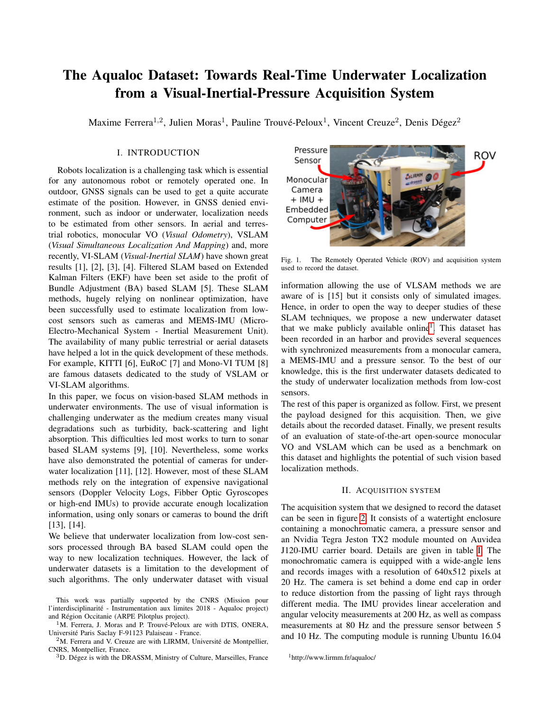# The Aqualoc Dataset: Towards Real-Time Underwater Localization from a Visual-Inertial-Pressure Acquisition System

Maxime Ferrera<sup>1,2</sup>, Julien Moras<sup>1</sup>, Pauline Trouvé-Peloux<sup>1</sup>, Vincent Creuze<sup>2</sup>, Denis Dégez<sup>2</sup>

## I. INTRODUCTION

Robots localization is a challenging task which is essential for any autonomous robot or remotely operated one. In outdoor, GNSS signals can be used to get a quite accurate estimate of the position. However, in GNSS denied environment, such as indoor or underwater, localization needs to be estimated from other sensors. In aerial and terrestrial robotics, monocular VO (*Visual Odometry*), VSLAM (*Visual Simultaneous Localization And Mapping*) and, more recently, VI-SLAM (*Visual-Inertial SLAM*) have shown great results [1], [2], [3], [4]. Filtered SLAM based on Extended Kalman Filters (EKF) have been set aside to the profit of Bundle Adjustment (BA) based SLAM [5]. These SLAM methods, hugely relying on nonlinear optimization, have been successfully used to estimate localization from lowcost sensors such as cameras and MEMS-IMU (Micro-Electro-Mechanical System - Inertial Measurement Unit). The availability of many public terrestrial or aerial datasets have helped a lot in the quick development of these methods. For example, KITTI [6], EuRoC [7] and Mono-VI TUM [8] are famous datasets dedicated to the study of VSLAM or VI-SLAM algorithms.

In this paper, we focus on vision-based SLAM methods in underwater environments. The use of visual information is challenging underwater as the medium creates many visual degradations such as turbidity, back-scattering and light absorption. This difficulties led most works to turn to sonar based SLAM systems [9], [10]. Nevertheless, some works have also demonstrated the potential of cameras for underwater localization [11], [12]. However, most of these SLAM methods rely on the integration of expensive navigational sensors (Doppler Velocity Logs, Fibber Optic Gyroscopes or high-end IMUs) to provide accurate enough localization information, using only sonars or cameras to bound the drift [13], [14].

We believe that underwater localization from low-cost sensors processed through BA based SLAM could open the way to new localization techniques. However, the lack of underwater datasets is a limitation to the development of such algorithms. The only underwater dataset with visual

 $2<sup>2</sup>M$ . Ferrera and V. Creuze are with LIRMM, Université de Montpellier, CNRS, Montpellier, France.

<sup>3</sup>D. Dégez is with the DRASSM, Ministry of Culture, Marseilles, France



Fig. 1. The Remotely Operated Vehicle (ROV) and acquisition system used to record the dataset.

<span id="page-0-1"></span>information allowing the use of VLSAM methods we are aware of is [15] but it consists only of simulated images. Hence, in order to open the way to deeper studies of these SLAM techniques, we propose a new underwater dataset that we make publicly available online<sup>[1](#page-0-0)</sup>. This dataset has been recorded in an harbor and provides several sequences with synchronized measurements from a monocular camera, a MEMS-IMU and a pressure sensor. To the best of our knowledge, this is the first underwater datasets dedicated to the study of underwater localization methods from low-cost sensors.

The rest of this paper is organized as follow. First, we present the payload designed for this acquisition. Then, we give details about the recorded dataset. Finally, we present results of an evaluation of state-of-the-art open-source monocular VO and VSLAM which can be used as a benchmark on this dataset and highlights the potential of such vision based localization methods.

#### II. ACQUISITION SYSTEM

The acquisition system that we designed to record the dataset can be seen in figure [2.](#page-1-0) It consists of a watertight enclosure containing a monochromatic camera, a pressure sensor and an Nvidia Tegra Jeston TX2 module mounted on Auvidea J120-IMU carrier board. Details are given in table [I.](#page-1-1) The monochromatic camera is equipped with a wide-angle lens and records images with a resolution of 640x512 pixels at 20 Hz. The camera is set behind a dome end cap in order to reduce distortion from the passing of light rays through different media. The IMU provides linear acceleration and angular velocity measurements at 200 Hz, as well as compass measurements at 80 Hz and the pressure sensor between 5 and 10 Hz. The computing module is running Ubuntu 16.04

This work was partially supported by the CNRS (Mission pour l'interdisciplinarité - Instrumentation aux limites 2018 - Aqualoc project) and Région Occitanie (ARPE Pilotplus project).

<sup>&</sup>lt;sup>1</sup>M. Ferrera, J. Moras and P. Trouvé-Peloux are with DTIS, ONERA, Universite Paris Saclay F-91123 Palaiseau - France. ´

<span id="page-0-0"></span><sup>1</sup>http://www.lirmm.fr/aqualoc/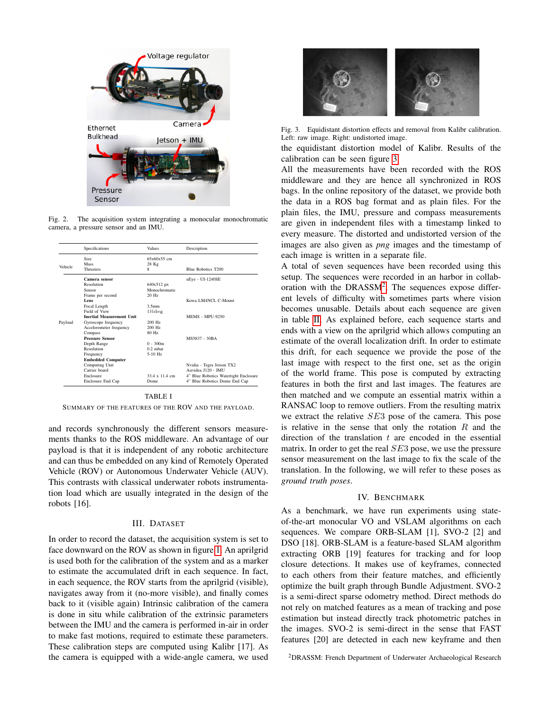

<span id="page-1-0"></span>Fig. 2. The acquisition system integrating a monocular monochromatic camera, a pressure sensor and an IMU.

|         | Specifications                   | <b>Values</b>     | Description                           |
|---------|----------------------------------|-------------------|---------------------------------------|
|         | Size.                            | $65x60x55$ cm     |                                       |
|         | Macc                             | 28 Kg             |                                       |
| Vehicle | <b>Thrusters</b>                 | 8                 | <b>Blue Robotics T200</b>             |
|         | Camera sensor                    |                   | uEye - UI-1240SE                      |
|         | Resolution                       | 640x512 px        |                                       |
|         | Sensor                           | Monochromatic     |                                       |
|         | Frame per second                 | $20$ Hz           |                                       |
|         | Lens                             |                   | Kowa LM4NCL C-Mount                   |
|         | Focal Length                     | 3.5 <sub>mm</sub> |                                       |
|         | Field of View                    | 131deg            |                                       |
|         | <b>Inertial Measurement Unit</b> |                   | <b>MEMS - MPU-9250</b>                |
| Payload | Gyroscope frequency              | 200 Hz            |                                       |
|         | Accelerometer frequency          | 200 Hz            |                                       |
|         | Compass                          | 80 Hz             |                                       |
|         | <b>Pressure Sensor</b>           |                   | MS5837 - 30BA                         |
|         | Depth Range                      | $0 - 300m$        |                                       |
|         | Resolution                       | $0.2$ mbar        |                                       |
|         | Frequency                        | $5-10$ Hz         |                                       |
|         | <b>Embedded Computer</b>         |                   |                                       |
|         | Computing Unit                   |                   | Nvidia - Tegra Jetson TX2             |
|         | Carrier board                    |                   | Auvidea J120 - IMU                    |
|         | Enclosure                        | 33.4 x 11.4 cm    | 4" Blue Robotics Watertight Enclosure |
|         | Enclosure End Cap                | <b>Dome</b>       | 4" Blue Robotics Dome End Cap         |

#### TABLE I

<span id="page-1-1"></span>SUMMARY OF THE FEATURES OF THE ROV AND THE PAYLOAD.

and records synchronously the different sensors measurements thanks to the ROS middleware. An advantage of our payload is that it is independent of any robotic architecture and can thus be embedded on any kind of Remotely Operated Vehicle (ROV) or Autonomous Underwater Vehicle (AUV). This contrasts with classical underwater robots instrumentation load which are usually integrated in the design of the robots [16].

#### III. DATASET

In order to record the dataset, the acquisition system is set to face downward on the ROV as shown in figure [1.](#page-0-1) An aprilgrid is used both for the calibration of the system and as a marker to estimate the accumulated drift in each sequence. In fact, in each sequence, the ROV starts from the aprilgrid (visible), navigates away from it (no-more visible), and finally comes back to it (visible again) Intrinsic calibration of the camera is done in situ while calibration of the extrinsic parameters between the IMU and the camera is performed in-air in order to make fast motions, required to estimate these parameters. These calibration steps are computed using Kalibr [17]. As the camera is equipped with a wide-angle camera, we used



Fig. 3. Equidistant distortion effects and removal from Kalibr calibration. Left: raw image. Right: undistorted image.

<span id="page-1-2"></span>the equidistant distortion model of Kalibr. Results of the calibration can be seen figure [3.](#page-1-2)

All the measurements have been recorded with the ROS middleware and they are hence all synchronized in ROS bags. In the online repository of the dataset, we provide both the data in a ROS bag format and as plain files. For the plain files, the IMU, pressure and compass measurements are given in independent files with a timestamp linked to every measure. The distorted and undistorted version of the images are also given as *png* images and the timestamp of each image is written in a separate file.

A total of seven sequences have been recorded using this setup. The sequences were recorded in an harbor in collaboration with the DRASS $M^2$  $M^2$ . The sequences expose different levels of difficulty with sometimes parts where vision becomes unusable. Details about each sequence are given in table [II.](#page-2-0) As explained before, each sequence starts and ends with a view on the aprilgrid which allows computing an estimate of the overall localization drift. In order to estimate this drift, for each sequence we provide the pose of the last image with respect to the first one, set as the origin of the world frame. This pose is computed by extracting features in both the first and last images. The features are then matched and we compute an essential matrix within a RANSAC loop to remove outliers. From the resulting matrix we extract the relative SE3 pose of the camera. This pose is relative in the sense that only the rotation  $R$  and the direction of the translation  $t$  are encoded in the essential matrix. In order to get the real SE3 pose, we use the pressure sensor measurement on the last image to fix the scale of the translation. In the following, we will refer to these poses as *ground truth poses*.

### IV. BENCHMARK

As a benchmark, we have run experiments using stateof-the-art monocular VO and VSLAM algorithms on each sequences. We compare ORB-SLAM [1], SVO-2 [2] and DSO [18]. ORB-SLAM is a feature-based SLAM algorithm extracting ORB [19] features for tracking and for loop closure detections. It makes use of keyframes, connected to each others from their feature matches, and efficiently optimize the built graph through Bundle Adjustment. SVO-2 is a semi-direct sparse odometry method. Direct methods do not rely on matched features as a mean of tracking and pose estimation but instead directly track photometric patches in the images. SVO-2 is semi-direct in the sense that FAST features [20] are detected in each new keyframe and then

<span id="page-1-3"></span><sup>2</sup>DRASSM: French Department of Underwater Archaeological Research